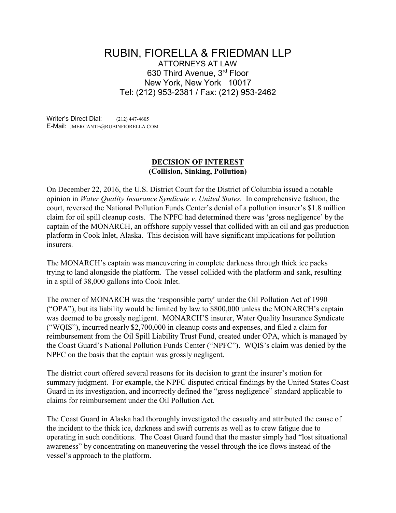## RUBIN, FIORELLA & FRIEDMAN LLP ATTORNEYS AT LAW 630 Third Avenue, 3rd Floor New York, New York 10017 Tel: (212) 953-2381 / Fax: (212) 953-2462

Writer's Direct Dial: (212) 447-4605 E-Mail: JMERCANTE@RUBINFIORELLA.COM

## **DECISION OF INTEREST (Collision, Sinking, Pollution)**

On December 22, 2016, the U.S. District Court for the District of Columbia issued a notable opinion in *Water Quality Insurance Syndicate v. United States.* In comprehensive fashion, the court, reversed the National Pollution Funds Center's denial of a pollution insurer's \$1.8 million claim for oil spill cleanup costs. The NPFC had determined there was 'gross negligence' by the captain of the MONARCH, an offshore supply vessel that collided with an oil and gas production platform in Cook Inlet, Alaska. This decision will have significant implications for pollution insurers.

The MONARCH's captain was maneuvering in complete darkness through thick ice packs trying to land alongside the platform. The vessel collided with the platform and sank, resulting in a spill of 38,000 gallons into Cook Inlet.

The owner of MONARCH was the 'responsible party' under the Oil Pollution Act of 1990 ("OPA"), but its liability would be limited by law to \$800,000 unless the MONARCH's captain was deemed to be grossly negligent. MONARCH'S insurer, Water Quality Insurance Syndicate ("WQIS"), incurred nearly \$2,700,000 in cleanup costs and expenses, and filed a claim for reimbursement from the Oil Spill Liability Trust Fund, created under OPA, which is managed by the Coast Guard's National Pollution Funds Center ("NPFC"). WQIS's claim was denied by the NPFC on the basis that the captain was grossly negligent.

The district court offered several reasons for its decision to grant the insurer's motion for summary judgment. For example, the NPFC disputed critical findings by the United States Coast Guard in its investigation, and incorrectly defined the "gross negligence" standard applicable to claims for reimbursement under the Oil Pollution Act.

The Coast Guard in Alaska had thoroughly investigated the casualty and attributed the cause of the incident to the thick ice, darkness and swift currents as well as to crew fatigue due to operating in such conditions. The Coast Guard found that the master simply had "lost situational awareness" by concentrating on maneuvering the vessel through the ice flows instead of the vessel's approach to the platform.